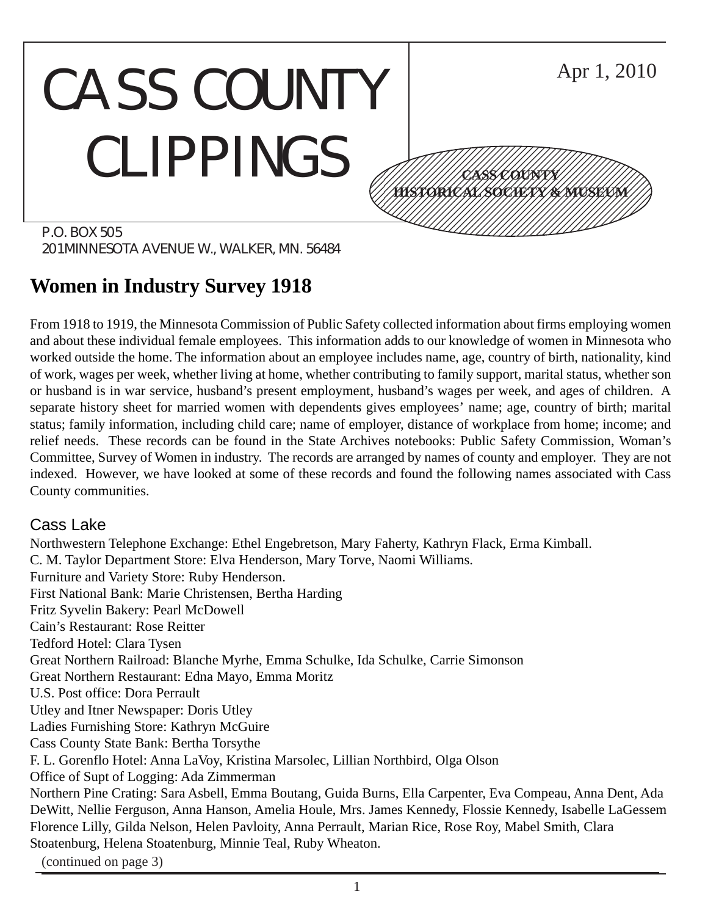#### CASS COUNTY CLIPPINGS P.O. BOX 505 Apr 1, 2010 12345678901234567890123456789012345678901234567890123456789012345678901234567890123456789012345678901234567890 12345678901234567890123456789012123456789012345 12345678901234567890123456789012123456789012345 12345678901234567890123456789012123456789012345 12345678901234567890123456789012123456789012345 12345678901234567890123456789012123456789012345 12345678901234567890123456789012123456789012345 1234 The Territorial Contract in the Contract of the Contract of the Contract of the Contract of the Contract 12345678901234567890123456789012345678901234567890123456789012345678901234567890123456789012345678901234567890 **CASS COUNTY HISTORICAL SOCIETY & MUSEUM**

201 MINNESOTA AVENUE W., WALKER, MN. 56484

# **Women in Industry Survey 1918**

From 1918 to 1919, the Minnesota Commission of Public Safety collected information about firms employing women and about these individual female employees. This information adds to our knowledge of women in Minnesota who worked outside the home. The information about an employee includes name, age, country of birth, nationality, kind of work, wages per week, whether living at home, whether contributing to family support, marital status, whether son or husband is in war service, husband's present employment, husband's wages per week, and ages of children. A separate history sheet for married women with dependents gives employees' name; age, country of birth; marital status; family information, including child care; name of employer, distance of workplace from home; income; and relief needs. These records can be found in the State Archives notebooks: Public Safety Commission, Woman's Committee, Survey of Women in industry. The records are arranged by names of county and employer. They are not indexed. However, we have looked at some of these records and found the following names associated with Cass County communities.

## Cass Lake

Northwestern Telephone Exchange: Ethel Engebretson, Mary Faherty, Kathryn Flack, Erma Kimball. C. M. Taylor Department Store: Elva Henderson, Mary Torve, Naomi Williams. Furniture and Variety Store: Ruby Henderson. First National Bank: Marie Christensen, Bertha Harding Fritz Syvelin Bakery: Pearl McDowell Cain's Restaurant: Rose Reitter Tedford Hotel: Clara Tysen Great Northern Railroad: Blanche Myrhe, Emma Schulke, Ida Schulke, Carrie Simonson Great Northern Restaurant: Edna Mayo, Emma Moritz U.S. Post office: Dora Perrault Utley and Itner Newspaper: Doris Utley Ladies Furnishing Store: Kathryn McGuire Cass County State Bank: Bertha Torsythe F. L. Gorenflo Hotel: Anna LaVoy, Kristina Marsolec, Lillian Northbird, Olga Olson Office of Supt of Logging: Ada Zimmerman Northern Pine Crating: Sara Asbell, Emma Boutang, Guida Burns, Ella Carpenter, Eva Compeau, Anna Dent, Ada DeWitt, Nellie Ferguson, Anna Hanson, Amelia Houle, Mrs. James Kennedy, Flossie Kennedy, Isabelle LaGessem Florence Lilly, Gilda Nelson, Helen Pavloity, Anna Perrault, Marian Rice, Rose Roy, Mabel Smith, Clara Stoatenburg, Helena Stoatenburg, Minnie Teal, Ruby Wheaton.

(continued on page 3)

1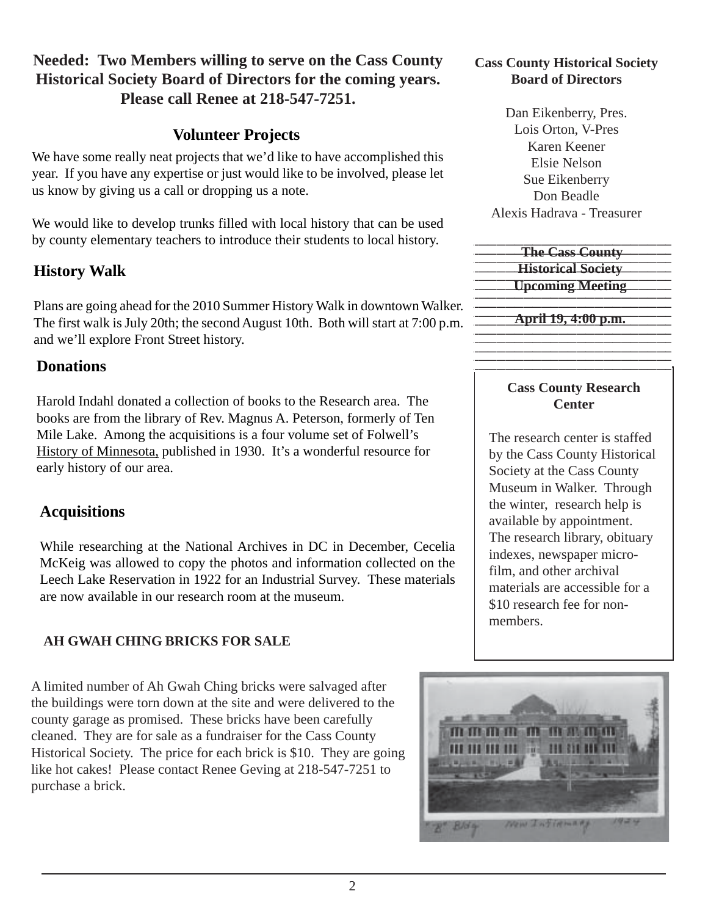## **Needed: Two Members willing to serve on the Cass County Historical Society Board of Directors for the coming years. Please call Renee at 218-547-7251.**

## **Volunteer Projects**

We have some really neat projects that we'd like to have accomplished this year. If you have any expertise or just would like to be involved, please let us know by giving us a call or dropping us a note.

We would like to develop trunks filled with local history that can be used by county elementary teachers to introduce their students to local history.

## **History Walk**

Plans are going ahead for the 2010 Summer History Walk in downtown Walker. The first walk is July 20th; the second August 10th. Both will start at 7:00 p.m. and we'll explore Front Street history.

## **Donations**

Harold Indahl donated a collection of books to the Research area. The books are from the library of Rev. Magnus A. Peterson, formerly of Ten Mile Lake. Among the acquisitions is a four volume set of Folwell's History of Minnesota, published in 1930. It's a wonderful resource for early history of our area.

## **Acquisitions**

While researching at the National Archives in DC in December, Cecelia McKeig was allowed to copy the photos and information collected on the Leech Lake Reservation in 1922 for an Industrial Survey. These materials are now available in our research room at the museum.

## **AH GWAH CHING BRICKS FOR SALE**

A limited number of Ah Gwah Ching bricks were salvaged after the buildings were torn down at the site and were delivered to the county garage as promised. These bricks have been carefully cleaned. They are for sale as a fundraiser for the Cass County Historical Society. The price for each brick is \$10. They are going like hot cakes! Please contact Renee Geving at 218-547-7251 to purchase a brick.

#### **Cass County Historical Society Board of Directors**

Dan Eikenberry, Pres. Lois Orton, V-Pres Karen Keener Elsie Nelson Sue Eikenberry Don Beadle Alexis Hadrava - Treasurer

| <b>The Cass County</b>    |
|---------------------------|
| <b>Historical Society</b> |
| <b>Upcoming Meeting</b>   |

**April 19, 4:00 p.m.** 

## **Cass County Research Center**

The research center is staffed by the Cass County Historical Society at the Cass County Museum in Walker. Through the winter, research help is available by appointment. The research library, obituary indexes, newspaper microfilm, and other archival materials are accessible for a \$10 research fee for nonmembers.

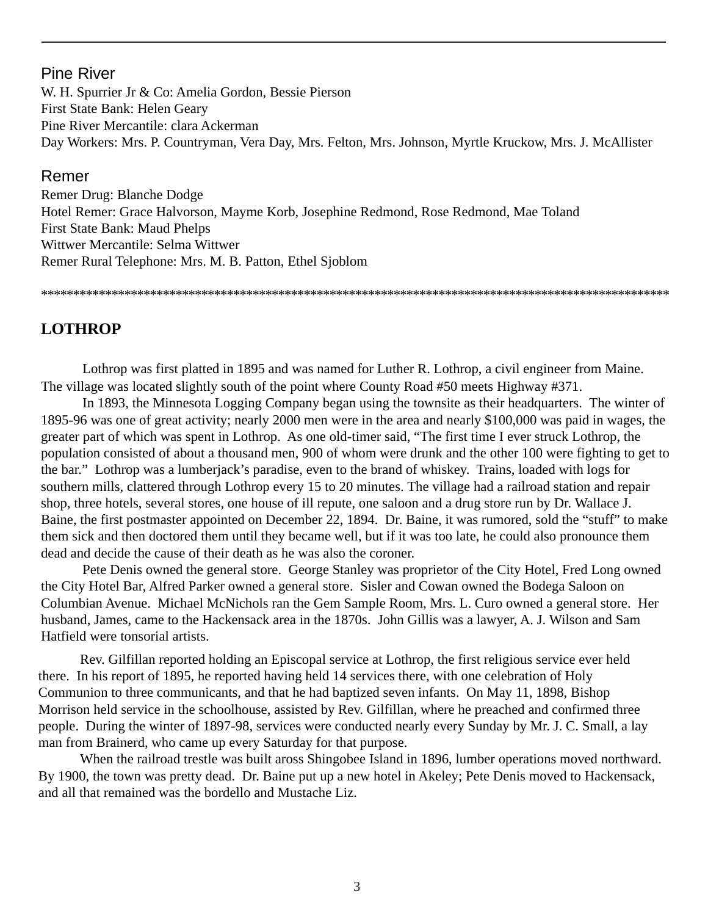#### Pine River

W. H. Spurrier Jr & Co: Amelia Gordon, Bessie Pierson First State Bank: Helen Geary Pine River Mercantile: clara Ackerman Day Workers: Mrs. P. Countryman, Vera Day, Mrs. Felton, Mrs. Johnson, Myrtle Kruckow, Mrs. J. McAllister

#### Remer

Remer Drug: Blanche Dodge Hotel Remer: Grace Halvorson, Mayme Korb, Josephine Redmond, Rose Redmond, Mae Toland First State Bank: Maud Phelps Wittwer Mercantile: Selma Wittwer Remer Rural Telephone: Mrs. M. B. Patton, Ethel Sjoblom

\*\*\*\*\*\*\*\*\*\*\*\*\*\*\*\*\*\*\*\*\*\*\*\*\*\*\*\*\*\*\*\*\*\*\*\*\*\*\*\*\*\*\*\*\*\*\*\*\*\*\*\*\*\*\*\*\*\*\*\*\*\*\*\*\*\*\*\*\*\*\*\*\*\*\*\*\*\*\*\*\*\*\*\*\*\*\*\*\*\*\*\*\*\*\*\*\*\*

## **LOTHROP**

Lothrop was first platted in 1895 and was named for Luther R. Lothrop, a civil engineer from Maine. The village was located slightly south of the point where County Road #50 meets Highway #371.

In 1893, the Minnesota Logging Company began using the townsite as their headquarters. The winter of 1895-96 was one of great activity; nearly 2000 men were in the area and nearly \$100,000 was paid in wages, the greater part of which was spent in Lothrop. As one old-timer said, "The first time I ever struck Lothrop, the population consisted of about a thousand men, 900 of whom were drunk and the other 100 were fighting to get to the bar." Lothrop was a lumberjack's paradise, even to the brand of whiskey. Trains, loaded with logs for southern mills, clattered through Lothrop every 15 to 20 minutes. The village had a railroad station and repair shop, three hotels, several stores, one house of ill repute, one saloon and a drug store run by Dr. Wallace J. Baine, the first postmaster appointed on December 22, 1894. Dr. Baine, it was rumored, sold the "stuff" to make them sick and then doctored them until they became well, but if it was too late, he could also pronounce them dead and decide the cause of their death as he was also the coroner.

Pete Denis owned the general store. George Stanley was proprietor of the City Hotel, Fred Long owned the City Hotel Bar, Alfred Parker owned a general store. Sisler and Cowan owned the Bodega Saloon on Columbian Avenue. Michael McNichols ran the Gem Sample Room, Mrs. L. Curo owned a general store. Her husband, James, came to the Hackensack area in the 1870s. John Gillis was a lawyer, A. J. Wilson and Sam Hatfield were tonsorial artists.

Rev. Gilfillan reported holding an Episcopal service at Lothrop, the first religious service ever held there. In his report of 1895, he reported having held 14 services there, with one celebration of Holy Communion to three communicants, and that he had baptized seven infants. On May 11, 1898, Bishop Morrison held service in the schoolhouse, assisted by Rev. Gilfillan, where he preached and confirmed three people. During the winter of 1897-98, services were conducted nearly every Sunday by Mr. J. C. Small, a lay man from Brainerd, who came up every Saturday for that purpose.

When the railroad trestle was built aross Shingobee Island in 1896, lumber operations moved northward. By 1900, the town was pretty dead. Dr. Baine put up a new hotel in Akeley; Pete Denis moved to Hackensack, and all that remained was the bordello and Mustache Liz.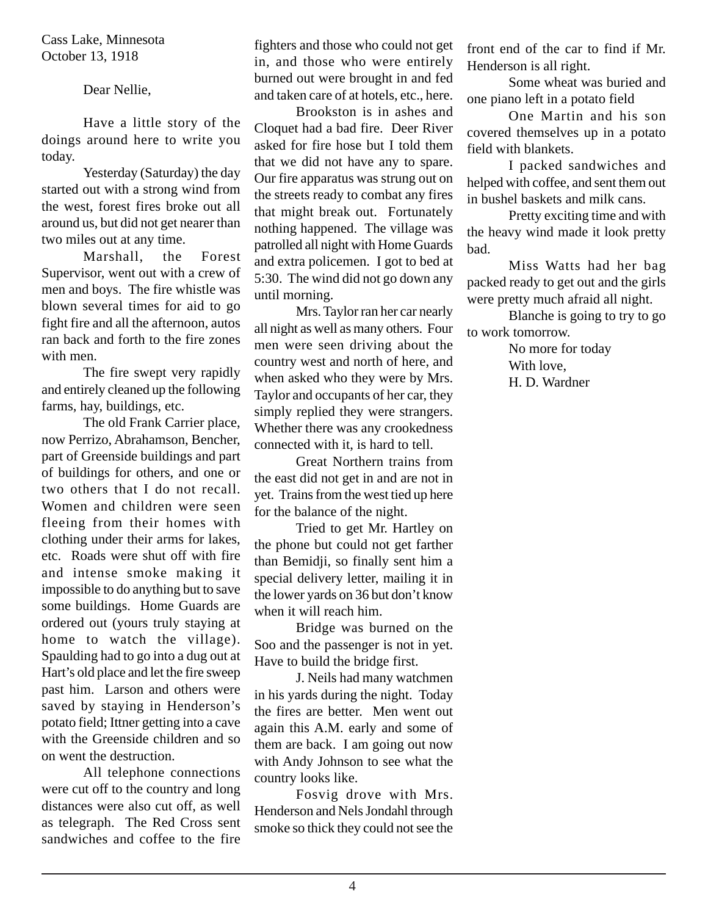Cass Lake, Minnesota October 13, 1918

Dear Nellie,

Have a little story of the doings around here to write you today.

Yesterday (Saturday) the day started out with a strong wind from the west, forest fires broke out all around us, but did not get nearer than two miles out at any time.

Marshall, the Forest Supervisor, went out with a crew of men and boys. The fire whistle was blown several times for aid to go fight fire and all the afternoon, autos ran back and forth to the fire zones with men.

The fire swept very rapidly and entirely cleaned up the following farms, hay, buildings, etc.

The old Frank Carrier place, now Perrizo, Abrahamson, Bencher, part of Greenside buildings and part of buildings for others, and one or two others that I do not recall. Women and children were seen fleeing from their homes with clothing under their arms for lakes, etc. Roads were shut off with fire and intense smoke making it impossible to do anything but to save some buildings. Home Guards are ordered out (yours truly staying at home to watch the village). Spaulding had to go into a dug out at Hart's old place and let the fire sweep past him. Larson and others were saved by staying in Henderson's potato field; Ittner getting into a cave with the Greenside children and so on went the destruction.

All telephone connections were cut off to the country and long distances were also cut off, as well as telegraph. The Red Cross sent sandwiches and coffee to the fire fighters and those who could not get in, and those who were entirely burned out were brought in and fed and taken care of at hotels, etc., here.

Brookston is in ashes and Cloquet had a bad fire. Deer River asked for fire hose but I told them that we did not have any to spare. Our fire apparatus was strung out on the streets ready to combat any fires that might break out. Fortunately nothing happened. The village was patrolled all night with Home Guards and extra policemen. I got to bed at 5:30. The wind did not go down any until morning.

Mrs. Taylor ran her car nearly all night as well as many others. Four men were seen driving about the country west and north of here, and when asked who they were by Mrs. Taylor and occupants of her car, they simply replied they were strangers. Whether there was any crookedness connected with it, is hard to tell.

Great Northern trains from the east did not get in and are not in yet. Trains from the west tied up here for the balance of the night.

Tried to get Mr. Hartley on the phone but could not get farther than Bemidji, so finally sent him a special delivery letter, mailing it in the lower yards on 36 but don't know when it will reach him.

Bridge was burned on the Soo and the passenger is not in yet. Have to build the bridge first.

J. Neils had many watchmen in his yards during the night. Today the fires are better. Men went out again this A.M. early and some of them are back. I am going out now with Andy Johnson to see what the country looks like.

Fosvig drove with Mrs. Henderson and Nels Jondahl through smoke so thick they could not see the

front end of the car to find if Mr. Henderson is all right.

Some wheat was buried and one piano left in a potato field

One Martin and his son covered themselves up in a potato field with blankets.

I packed sandwiches and helped with coffee, and sent them out in bushel baskets and milk cans.

Pretty exciting time and with the heavy wind made it look pretty bad.

Miss Watts had her bag packed ready to get out and the girls were pretty much afraid all night.

Blanche is going to try to go to work tomorrow.

> No more for today With love, H. D. Wardner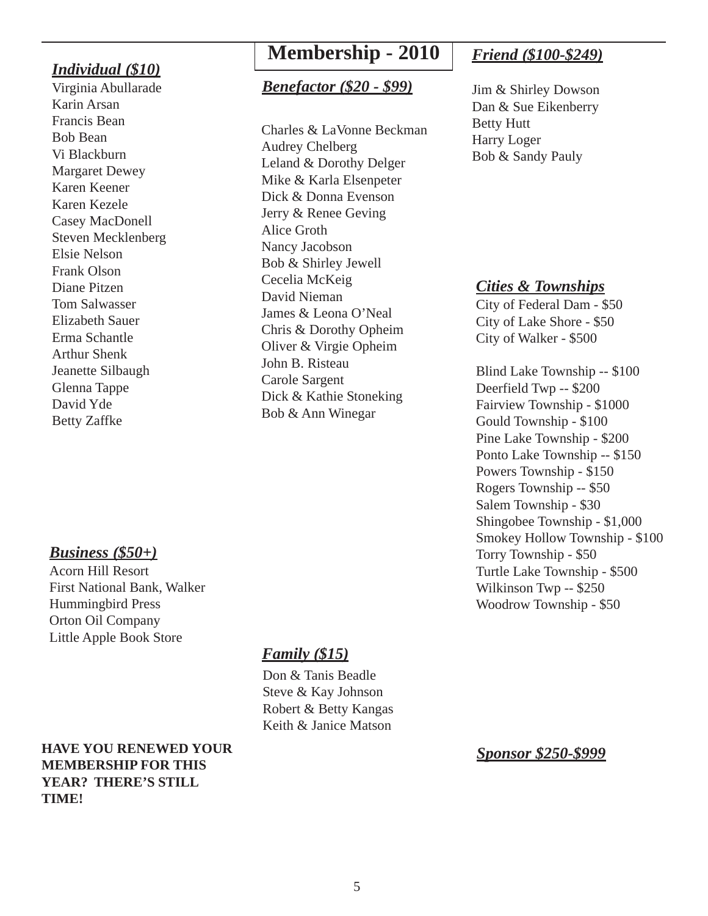#### *Individual (\$10)*

Virginia Abullarade Karin Arsan Francis Bean Bob Bean Vi Blackburn Margaret Dewey Karen Keener Karen Kezele Casey MacDonell Steven Mecklenberg Elsie Nelson Frank Olson Diane Pitzen Tom Salwasser Elizabeth Sauer Erma Schantle Arthur Shenk Jeanette Silbaugh Glenna Tappe David Yde Betty Zaffke

## **Membership - 2010**

#### *Benefactor (\$20 - \$99)*

Charles & LaVonne Beckman Audrey Chelberg Leland & Dorothy Delger Mike & Karla Elsenpeter Dick & Donna Evenson Jerry & Renee Geving Alice Groth Nancy Jacobson Bob & Shirley Jewell Cecelia McKeig David Nieman James & Leona O'Neal Chris & Dorothy Opheim Oliver & Virgie Opheim John B. Risteau Carole Sargent Dick & Kathie Stoneking Bob & Ann Winegar

## *Friend (\$100-\$249)*

Jim & Shirley Dowson Dan & Sue Eikenberry Betty Hutt Harry Loger Bob & Sandy Pauly

#### *Cities & Townships*

City of Federal Dam - \$50 City of Lake Shore - \$50 City of Walker - \$500

Blind Lake Township -- \$100 Deerfield Twp -- \$200 Fairview Township - \$1000 Gould Township - \$100 Pine Lake Township - \$200 Ponto Lake Township -- \$150 Powers Township - \$150 Rogers Township -- \$50 Salem Township - \$30 Shingobee Township - \$1,000 Smokey Hollow Township - \$100 Torry Township - \$50 Turtle Lake Township - \$500 Wilkinson Twp -- \$250 Woodrow Township - \$50

## *Business (\$50+)*

Acorn Hill Resort First National Bank, Walker Hummingbird Press Orton Oil Company Little Apple Book Store

## *Family (\$15)*

Don & Tanis Beadle Steve & Kay Johnson Robert & Betty Kangas Keith & Janice Matson

**HAVE YOU RENEWED YOUR MEMBERSHIP FOR THIS YEAR? THERE'S STILL TIME!**

*Sponsor \$250-\$999*